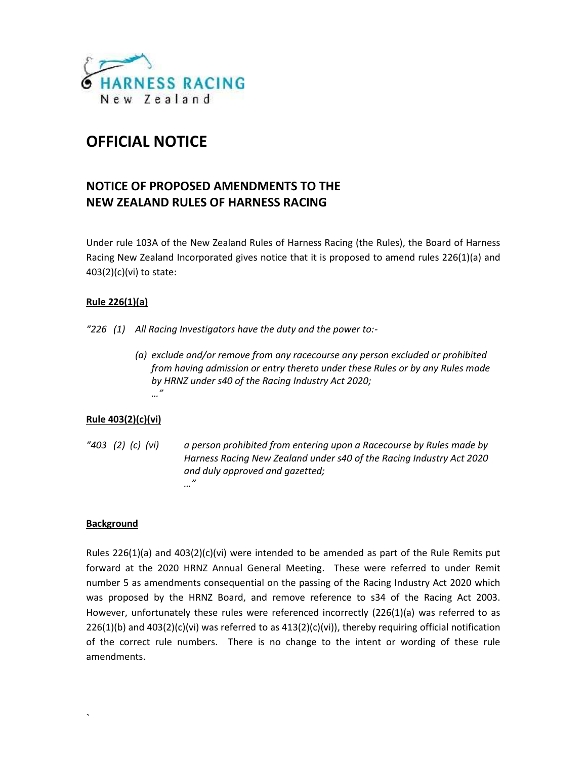

# **OFFICIAL NOTICE**

# **NOTICE OF PROPOSED AMENDMENTS TO THE NEW ZEALAND RULES OF HARNESS RACING**

Under rule 103A of the New Zealand Rules of Harness Racing (the Rules), the Board of Harness Racing New Zealand Incorporated gives notice that it is proposed to amend rules 226(1)(a) and 403(2)(c)(vi) to state:

# **Rule 226(1)(a)**

*"226 (1) All Racing Investigators have the duty and the power to:-*

*(a) exclude and/or remove from any racecourse any person excluded or prohibited from having admission or entry thereto under these Rules or by any Rules made by HRNZ under s40 of the Racing Industry Act 2020; …"*

# **Rule 403(2)(c)(vi)**

*"403 (2) (c) (vi) a person prohibited from entering upon a Racecourse by Rules made by Harness Racing New Zealand under s40 of the Racing Industry Act 2020 and duly approved and gazetted; …"*

## **Background**

 $\sum_{i=1}^n \alpha_i$ 

Rules 226(1)(a) and 403(2)(c)(vi) were intended to be amended as part of the Rule Remits put forward at the 2020 HRNZ Annual General Meeting. These were referred to under Remit number 5 as amendments consequential on the passing of the Racing Industry Act 2020 which was proposed by the HRNZ Board, and remove reference to s34 of the Racing Act 2003. However, unfortunately these rules were referenced incorrectly (226(1)(a) was referred to as 226(1)(b) and 403(2)(c)(vi) was referred to as 413(2)(c)(vi)), thereby requiring official notification of the correct rule numbers. There is no change to the intent or wording of these rule amendments.